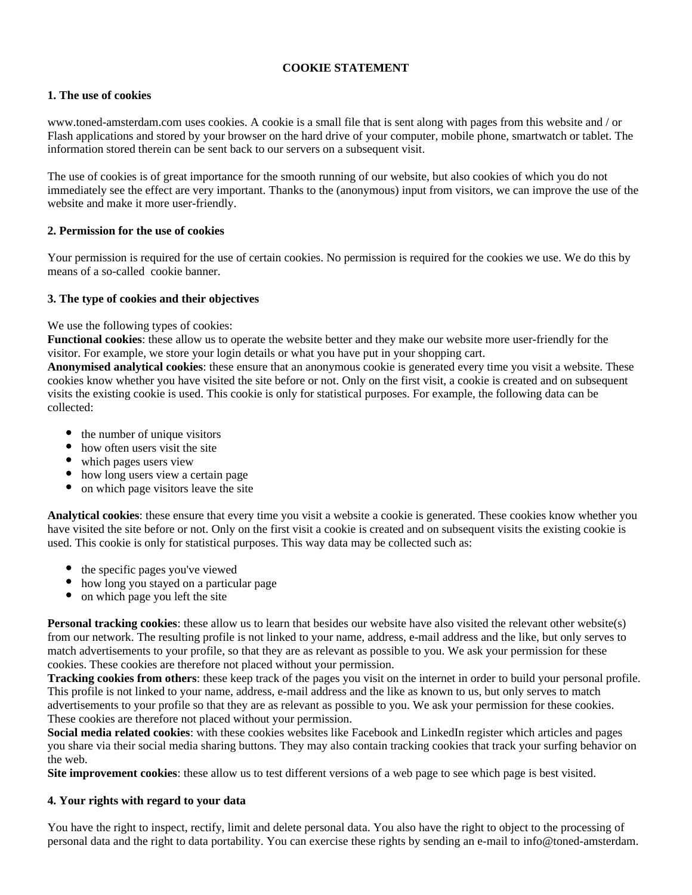## **COOKIE STATEMENT**

## **1. The use of cookies**

www.toned-amsterdam.com uses cookies. A cookie is a small file that is sent along with pages from this website and / or Flash applications and stored by your browser on the hard drive of your computer, mobile phone, smartwatch or tablet. The information stored therein can be sent back to our servers on a subsequent visit.

The use of cookies is of great importance for the smooth running of our website, but also cookies of which you do not immediately see the effect are very important. Thanks to the (anonymous) input from visitors, we can improve the use of the website and make it more user-friendly.

# **2. Permission for the use of cookies**

Your permission is required for the use of certain cookies. No permission is required for the cookies we use. We do this by means of a so-called cookie banner.

## **3. The type of cookies and their objectives**

We use the following types of cookies:

**Functional cookies**: these allow us to operate the website better and they make our website more user-friendly for the visitor. For example, we store your login details or what you have put in your shopping cart.

**Anonymised analytical cookies**: these ensure that an anonymous cookie is generated every time you visit a website. These cookies know whether you have visited the site before or not. Only on the first visit, a cookie is created and on subsequent visits the existing cookie is used. This cookie is only for statistical purposes. For example, the following data can be collected:

- the number of unique visitors
- how often users visit the site
- which pages users view
- how long users view a certain page
- on which page visitors leave the site

**Analytical cookies**: these ensure that every time you visit a website a cookie is generated. These cookies know whether you have visited the site before or not. Only on the first visit a cookie is created and on subsequent visits the existing cookie is used. This cookie is only for statistical purposes. This way data may be collected such as:

- the specific pages you've viewed
- how long you stayed on a particular page
- on which page you left the site

**Personal tracking cookies**: these allow us to learn that besides our website have also visited the relevant other website(s) from our network. The resulting profile is not linked to your name, address, e-mail address and the like, but only serves to match advertisements to your profile, so that they are as relevant as possible to you. We ask your permission for these cookies. These cookies are therefore not placed without your permission.

**Tracking cookies from others**: these keep track of the pages you visit on the internet in order to build your personal profile. This profile is not linked to your name, address, e-mail address and the like as known to us, but only serves to match advertisements to your profile so that they are as relevant as possible to you. We ask your permission for these cookies. These cookies are therefore not placed without your permission.

**Social media related cookies**: with these cookies websites like Facebook and LinkedIn register which articles and pages you share via their social media sharing buttons. They may also contain tracking cookies that track your surfing behavior on the web.

**Site improvement cookies**: these allow us to test different versions of a web page to see which page is best visited.

## **4. Your rights with regard to your data**

You have the right to inspect, rectify, limit and delete personal data. You also have the right to object to the processing of personal data and the right to data portability. You can exercise these rights by sending an e-mail to info@toned-amsterdam.